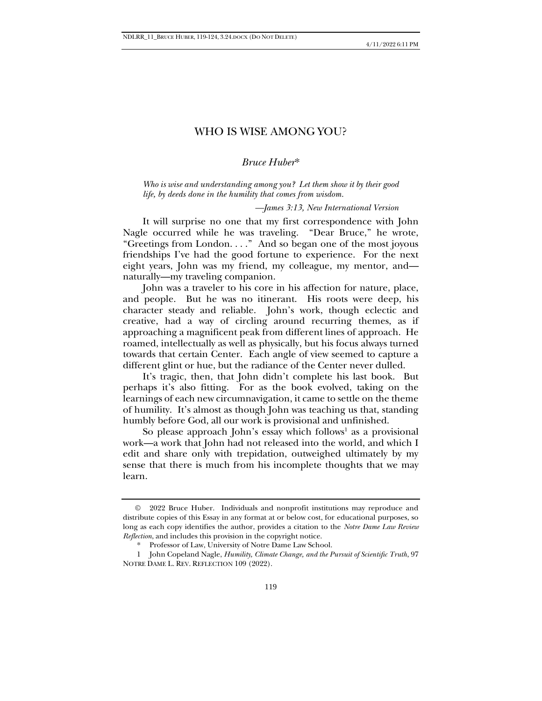# WHO IS WISE AMONG YOU?

### *Bruce Huber*\*

*Who is wise and understanding among you? Let them show it by their good life, by deeds done in the humility that comes from wisdom.*

#### *—James 3:13, New International Version*

It will surprise no one that my first correspondence with John Nagle occurred while he was traveling. "Dear Bruce," he wrote, "Greetings from London. . . ." And so began one of the most joyous friendships I've had the good fortune to experience. For the next eight years, John was my friend, my colleague, my mentor, and naturally—my traveling companion.

John was a traveler to his core in his affection for nature, place, and people. But he was no itinerant. His roots were deep, his character steady and reliable. John's work, though eclectic and creative, had a way of circling around recurring themes, as if approaching a magnificent peak from different lines of approach. He roamed, intellectually as well as physically, but his focus always turned towards that certain Center. Each angle of view seemed to capture a different glint or hue, but the radiance of the Center never dulled.

It's tragic, then, that John didn't complete his last book. But perhaps it's also fitting. For as the book evolved, taking on the learnings of each new circumnavigation, it came to settle on the theme of humility. It's almost as though John was teaching us that, standing humbly before God, all our work is provisional and unfinished.

So please approach John's essay which follows<sup>1</sup> as a provisional work—a work that John had not released into the world, and which I edit and share only with trepidation, outweighed ultimately by my sense that there is much from his incomplete thoughts that we may learn.

<sup>©</sup> 2022 Bruce Huber. Individuals and nonprofit institutions may reproduce and distribute copies of this Essay in any format at or below cost, for educational purposes, so long as each copy identifies the author, provides a citation to the *Notre Dame Law Review Reflection*, and includes this provision in the copyright notice.

<sup>\*</sup> Professor of Law, University of Notre Dame Law School.

<sup>1</sup> John Copeland Nagle, *Humility, Climate Change, and the Pursuit of Scientific Truth*, 97 NOTRE DAME L. REV. REFLECTION 109 (2022).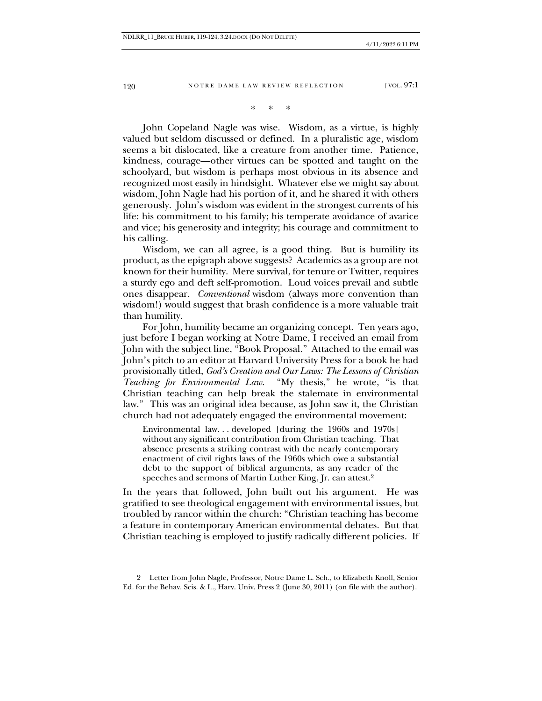120 NOTRE DAME LAW REVIEW REFLECTION [VOL. 97:1]

## \* \* \*

John Copeland Nagle was wise. Wisdom, as a virtue, is highly valued but seldom discussed or defined. In a pluralistic age, wisdom seems a bit dislocated, like a creature from another time. Patience, kindness, courage—other virtues can be spotted and taught on the schoolyard, but wisdom is perhaps most obvious in its absence and recognized most easily in hindsight. Whatever else we might say about wisdom, John Nagle had his portion of it, and he shared it with others generously. John's wisdom was evident in the strongest currents of his life: his commitment to his family; his temperate avoidance of avarice and vice; his generosity and integrity; his courage and commitment to his calling.

Wisdom, we can all agree, is a good thing. But is humility its product, as the epigraph above suggests? Academics as a group are not known for their humility. Mere survival, for tenure or Twitter, requires a sturdy ego and deft self-promotion. Loud voices prevail and subtle ones disappear. *Conventional* wisdom (always more convention than wisdom!) would suggest that brash confidence is a more valuable trait than humility.

For John, humility became an organizing concept. Ten years ago, just before I began working at Notre Dame, I received an email from John with the subject line, "Book Proposal." Attached to the email was John's pitch to an editor at Harvard University Press for a book he had provisionally titled, *God's Creation and Our Laws: The Lessons of Christian Teaching for Environmental Law*. "My thesis," he wrote, "is that Christian teaching can help break the stalemate in environmental law." This was an original idea because, as John saw it, the Christian church had not adequately engaged the environmental movement:

Environmental law. . . developed [during the 1960s and 1970s] without any significant contribution from Christian teaching. That absence presents a striking contrast with the nearly contemporary enactment of civil rights laws of the 1960s which owe a substantial debt to the support of biblical arguments, as any reader of the speeches and sermons of Martin Luther King, Jr. can attest. 2

In the years that followed, John built out his argument. He was gratified to see theological engagement with environmental issues, but troubled by rancor within the church: "Christian teaching has become a feature in contemporary American environmental debates. But that Christian teaching is employed to justify radically different policies. If

<sup>2</sup> Letter from John Nagle, Professor, Notre Dame L. Sch., to Elizabeth Knoll, Senior Ed. for the Behav. Scis. & L., Harv. Univ. Press 2 (June 30, 2011) (on file with the author).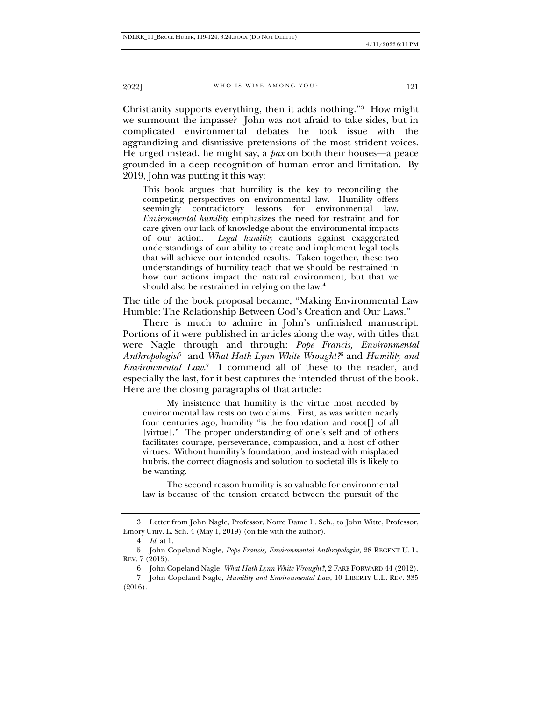2022] WHO IS WISE AMONG YOU? 121

Christianity supports everything, then it adds nothing."<sup>3</sup> How might we surmount the impasse? John was not afraid to take sides, but in complicated environmental debates he took issue with the aggrandizing and dismissive pretensions of the most strident voices. He urged instead, he might say, a *pax* on both their houses—a peace grounded in a deep recognition of human error and limitation. By 2019, John was putting it this way:

This book argues that humility is the key to reconciling the competing perspectives on environmental law. Humility offers seemingly contradictory lessons for environmental law. *Environmental humility* emphasizes the need for restraint and for care given our lack of knowledge about the environmental impacts of our action. *Legal humility* cautions against exaggerated understandings of our ability to create and implement legal tools that will achieve our intended results. Taken together, these two understandings of humility teach that we should be restrained in how our actions impact the natural environment, but that we should also be restrained in relying on the law.<sup>4</sup>

The title of the book proposal became, "Making Environmental Law Humble: The Relationship Between God's Creation and Our Laws."

There is much to admire in John's unfinished manuscript. Portions of it were published in articles along the way, with titles that were Nagle through and through: *Pope Francis, Environmental Anthropologist*<sup>5</sup> and *What Hath Lynn White Wrought?*<sup>6</sup> and *Humility and Environmental Law*. 7 I commend all of these to the reader, and especially the last, for it best captures the intended thrust of the book. Here are the closing paragraphs of that article:

My insistence that humility is the virtue most needed by environmental law rests on two claims. First, as was written nearly four centuries ago, humility "is the foundation and root[] of all [virtue]." The proper understanding of one's self and of others facilitates courage, perseverance, compassion, and a host of other virtues. Without humility's foundation, and instead with misplaced hubris, the correct diagnosis and solution to societal ills is likely to be wanting.

The second reason humility is so valuable for environmental law is because of the tension created between the pursuit of the

<sup>3</sup> Letter from John Nagle, Professor, Notre Dame L. Sch., to John Witte, Professor, Emory Univ. L. Sch. 4 (May 1, 2019) (on file with the author).

<sup>4</sup> *Id.* at 1.

<sup>5</sup> John Copeland Nagle, *Pope Francis, Environmental Anthropologist*, 28 REGENT U. L. REV. 7 (2015).

<sup>6</sup> John Copeland Nagle, *What Hath Lynn White Wrought?*, 2 FARE FORWARD 44 (2012).

<sup>7</sup> John Copeland Nagle, *Humility and Environmental Law*, 10 LIBERTY U.L. REV. 335 (2016).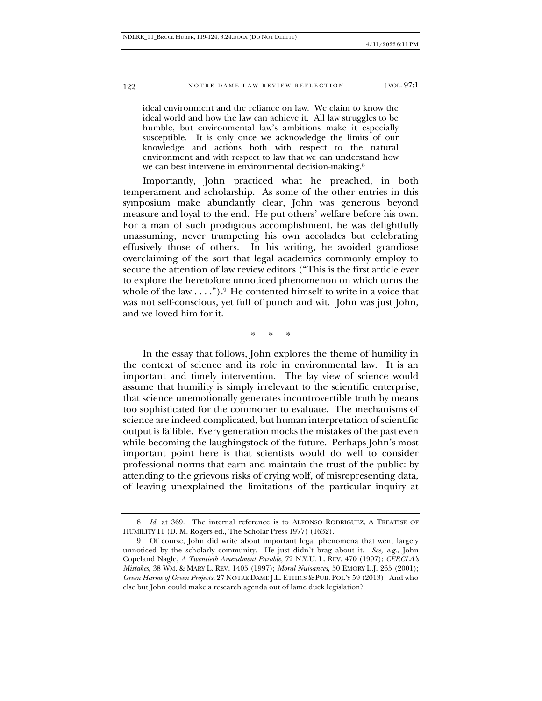### 122 NOTRE DAME LAW REVIEW REFLECTION [VOL. 97:1]

ideal environment and the reliance on law. We claim to know the ideal world and how the law can achieve it. All law struggles to be humble, but environmental law's ambitions make it especially susceptible. It is only once we acknowledge the limits of our knowledge and actions both with respect to the natural environment and with respect to law that we can understand how we can best intervene in environmental decision-making.<sup>8</sup>

Importantly, John practiced what he preached, in both temperament and scholarship. As some of the other entries in this symposium make abundantly clear, John was generous beyond measure and loyal to the end. He put others' welfare before his own. For a man of such prodigious accomplishment, he was delightfully unassuming, never trumpeting his own accolades but celebrating effusively those of others. In his writing, he avoided grandiose overclaiming of the sort that legal academics commonly employ to secure the attention of law review editors ("This is the first article ever to explore the heretofore unnoticed phenomenon on which turns the whole of the law  $\dots$ ").<sup>9</sup> He contented himself to write in a voice that was not self-conscious, yet full of punch and wit. John was just John, and we loved him for it.

\* \* \*

In the essay that follows, John explores the theme of humility in the context of science and its role in environmental law. It is an important and timely intervention. The lay view of science would assume that humility is simply irrelevant to the scientific enterprise, that science unemotionally generates incontrovertible truth by means too sophisticated for the commoner to evaluate. The mechanisms of science are indeed complicated, but human interpretation of scientific output is fallible. Every generation mocks the mistakes of the past even while becoming the laughingstock of the future. Perhaps John's most important point here is that scientists would do well to consider professional norms that earn and maintain the trust of the public: by attending to the grievous risks of crying wolf, of misrepresenting data, of leaving unexplained the limitations of the particular inquiry at

<sup>8</sup> *Id.* at 369. The internal reference is to ALFONSO RODRIGUEZ, A TREATISE OF HUMILITY 11 (D. M. Rogers ed., The Scholar Press 1977) (1632).

<sup>9</sup> Of course, John did write about important legal phenomena that went largely unnoticed by the scholarly community. He just didn't brag about it. *See, e.g.*, John Copeland Nagle, *A Twentieth Amendment Parable*, 72 N.Y.U. L. REV. 470 (1997); *CERCLA's Mistakes*, 38 WM. & MARY L. REV. 1405 (1997); *Moral Nuisances*, 50 EMORY L.J. 265 (2001); *Green Harms of Green Projects*, 27 NOTRE DAME J.L. ETHICS & PUB. POL'Y 59 (2013). And who else but John could make a research agenda out of lame duck legislation?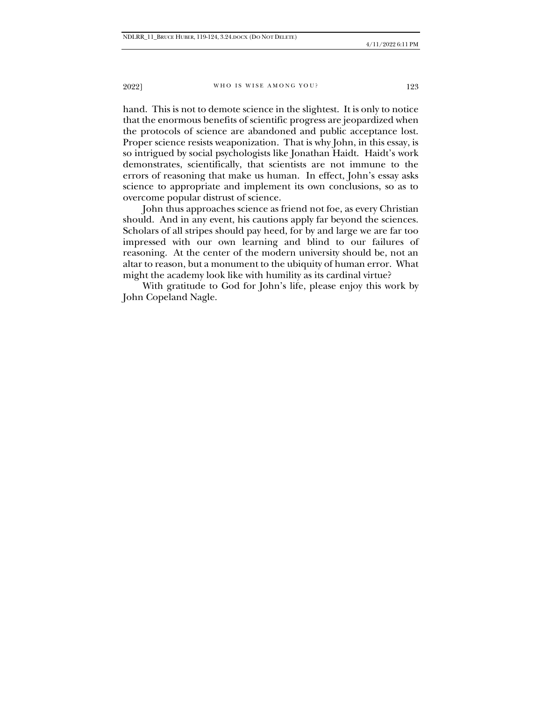2022] WHO IS WISE AMONG YOU? 123

hand. This is not to demote science in the slightest. It is only to notice that the enormous benefits of scientific progress are jeopardized when the protocols of science are abandoned and public acceptance lost. Proper science resists weaponization. That is why John, in this essay, is so intrigued by social psychologists like Jonathan Haidt. Haidt's work demonstrates, scientifically, that scientists are not immune to the errors of reasoning that make us human. In effect, John's essay asks science to appropriate and implement its own conclusions, so as to overcome popular distrust of science.

John thus approaches science as friend not foe, as every Christian should. And in any event, his cautions apply far beyond the sciences. Scholars of all stripes should pay heed, for by and large we are far too impressed with our own learning and blind to our failures of reasoning. At the center of the modern university should be, not an altar to reason, but a monument to the ubiquity of human error. What might the academy look like with humility as its cardinal virtue?

With gratitude to God for John's life, please enjoy this work by John Copeland Nagle.